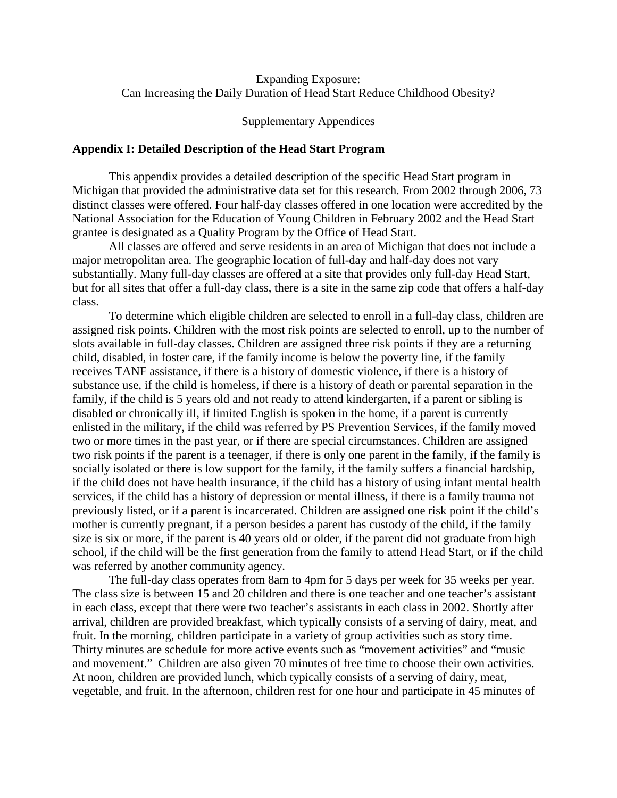# Expanding Exposure: Can Increasing the Daily Duration of Head Start Reduce Childhood Obesity?

# Supplementary Appendices

# **Appendix I: Detailed Description of the Head Start Program**

This appendix provides a detailed description of the specific Head Start program in Michigan that provided the administrative data set for this research. From 2002 through 2006, 73 distinct classes were offered. Four half-day classes offered in one location were accredited by the National Association for the Education of Young Children in February 2002 and the Head Start grantee is designated as a Quality Program by the Office of Head Start.

All classes are offered and serve residents in an area of Michigan that does not include a major metropolitan area. The geographic location of full-day and half-day does not vary substantially. Many full-day classes are offered at a site that provides only full-day Head Start, but for all sites that offer a full-day class, there is a site in the same zip code that offers a half-day class.

To determine which eligible children are selected to enroll in a full-day class, children are assigned risk points. Children with the most risk points are selected to enroll, up to the number of slots available in full-day classes. Children are assigned three risk points if they are a returning child, disabled, in foster care, if the family income is below the poverty line, if the family receives TANF assistance, if there is a history of domestic violence, if there is a history of substance use, if the child is homeless, if there is a history of death or parental separation in the family, if the child is 5 years old and not ready to attend kindergarten, if a parent or sibling is disabled or chronically ill, if limited English is spoken in the home, if a parent is currently enlisted in the military, if the child was referred by PS Prevention Services, if the family moved two or more times in the past year, or if there are special circumstances. Children are assigned two risk points if the parent is a teenager, if there is only one parent in the family, if the family is socially isolated or there is low support for the family, if the family suffers a financial hardship, if the child does not have health insurance, if the child has a history of using infant mental health services, if the child has a history of depression or mental illness, if there is a family trauma not previously listed, or if a parent is incarcerated. Children are assigned one risk point if the child's mother is currently pregnant, if a person besides a parent has custody of the child, if the family size is six or more, if the parent is 40 years old or older, if the parent did not graduate from high school, if the child will be the first generation from the family to attend Head Start, or if the child was referred by another community agency.

The full-day class operates from 8am to 4pm for 5 days per week for 35 weeks per year. The class size is between 15 and 20 children and there is one teacher and one teacher's assistant in each class, except that there were two teacher's assistants in each class in 2002. Shortly after arrival, children are provided breakfast, which typically consists of a serving of dairy, meat, and fruit. In the morning, children participate in a variety of group activities such as story time. Thirty minutes are schedule for more active events such as "movement activities" and "music and movement." Children are also given 70 minutes of free time to choose their own activities. At noon, children are provided lunch, which typically consists of a serving of dairy, meat, vegetable, and fruit. In the afternoon, children rest for one hour and participate in 45 minutes of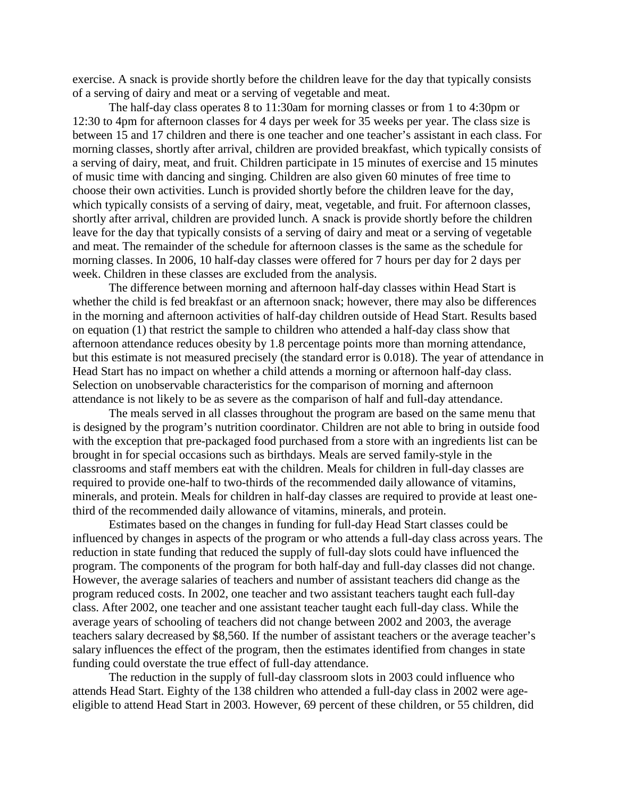exercise. A snack is provide shortly before the children leave for the day that typically consists of a serving of dairy and meat or a serving of vegetable and meat.

The half-day class operates 8 to 11:30am for morning classes or from 1 to 4:30pm or 12:30 to 4pm for afternoon classes for 4 days per week for 35 weeks per year. The class size is between 15 and 17 children and there is one teacher and one teacher's assistant in each class. For morning classes, shortly after arrival, children are provided breakfast, which typically consists of a serving of dairy, meat, and fruit. Children participate in 15 minutes of exercise and 15 minutes of music time with dancing and singing. Children are also given 60 minutes of free time to choose their own activities. Lunch is provided shortly before the children leave for the day, which typically consists of a serving of dairy, meat, vegetable, and fruit. For afternoon classes, shortly after arrival, children are provided lunch. A snack is provide shortly before the children leave for the day that typically consists of a serving of dairy and meat or a serving of vegetable and meat. The remainder of the schedule for afternoon classes is the same as the schedule for morning classes. In 2006, 10 half-day classes were offered for 7 hours per day for 2 days per week. Children in these classes are excluded from the analysis.

The difference between morning and afternoon half-day classes within Head Start is whether the child is fed breakfast or an afternoon snack; however, there may also be differences in the morning and afternoon activities of half-day children outside of Head Start. Results based on equation (1) that restrict the sample to children who attended a half-day class show that afternoon attendance reduces obesity by 1.8 percentage points more than morning attendance, but this estimate is not measured precisely (the standard error is 0.018). The year of attendance in Head Start has no impact on whether a child attends a morning or afternoon half-day class. Selection on unobservable characteristics for the comparison of morning and afternoon attendance is not likely to be as severe as the comparison of half and full-day attendance.

The meals served in all classes throughout the program are based on the same menu that is designed by the program's nutrition coordinator. Children are not able to bring in outside food with the exception that pre-packaged food purchased from a store with an ingredients list can be brought in for special occasions such as birthdays. Meals are served family-style in the classrooms and staff members eat with the children. Meals for children in full-day classes are required to provide one-half to two-thirds of the recommended daily allowance of vitamins, minerals, and protein. Meals for children in half-day classes are required to provide at least onethird of the recommended daily allowance of vitamins, minerals, and protein.

Estimates based on the changes in funding for full-day Head Start classes could be influenced by changes in aspects of the program or who attends a full-day class across years. The reduction in state funding that reduced the supply of full-day slots could have influenced the program. The components of the program for both half-day and full-day classes did not change. However, the average salaries of teachers and number of assistant teachers did change as the program reduced costs. In 2002, one teacher and two assistant teachers taught each full-day class. After 2002, one teacher and one assistant teacher taught each full-day class. While the average years of schooling of teachers did not change between 2002 and 2003, the average teachers salary decreased by \$8,560. If the number of assistant teachers or the average teacher's salary influences the effect of the program, then the estimates identified from changes in state funding could overstate the true effect of full-day attendance.

The reduction in the supply of full-day classroom slots in 2003 could influence who attends Head Start. Eighty of the 138 children who attended a full-day class in 2002 were ageeligible to attend Head Start in 2003. However, 69 percent of these children, or 55 children, did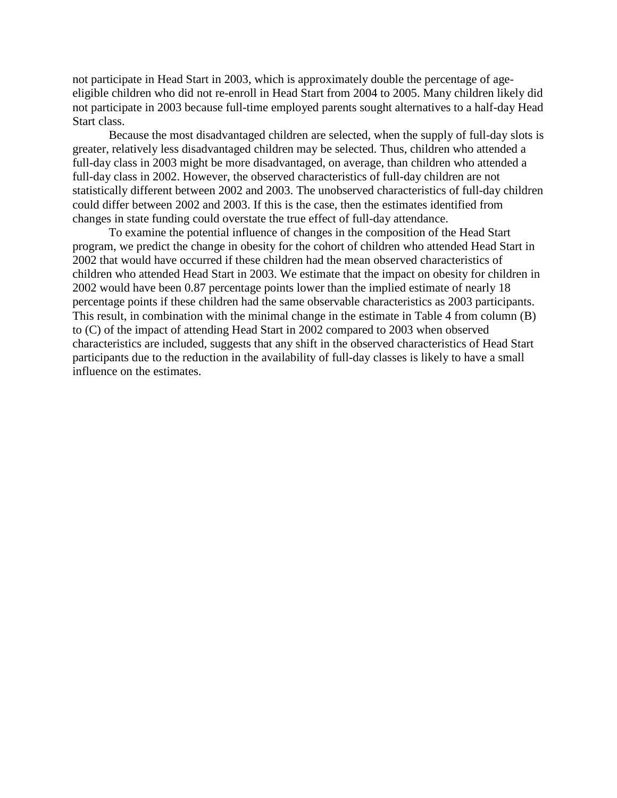not participate in Head Start in 2003, which is approximately double the percentage of ageeligible children who did not re-enroll in Head Start from 2004 to 2005. Many children likely did not participate in 2003 because full-time employed parents sought alternatives to a half-day Head Start class.

Because the most disadvantaged children are selected, when the supply of full-day slots is greater, relatively less disadvantaged children may be selected. Thus, children who attended a full-day class in 2003 might be more disadvantaged, on average, than children who attended a full-day class in 2002. However, the observed characteristics of full-day children are not statistically different between 2002 and 2003. The unobserved characteristics of full-day children could differ between 2002 and 2003. If this is the case, then the estimates identified from changes in state funding could overstate the true effect of full-day attendance.

To examine the potential influence of changes in the composition of the Head Start program, we predict the change in obesity for the cohort of children who attended Head Start in 2002 that would have occurred if these children had the mean observed characteristics of children who attended Head Start in 2003. We estimate that the impact on obesity for children in 2002 would have been 0.87 percentage points lower than the implied estimate of nearly 18 percentage points if these children had the same observable characteristics as 2003 participants. This result, in combination with the minimal change in the estimate in Table 4 from column (B) to (C) of the impact of attending Head Start in 2002 compared to 2003 when observed characteristics are included, suggests that any shift in the observed characteristics of Head Start participants due to the reduction in the availability of full-day classes is likely to have a small influence on the estimates.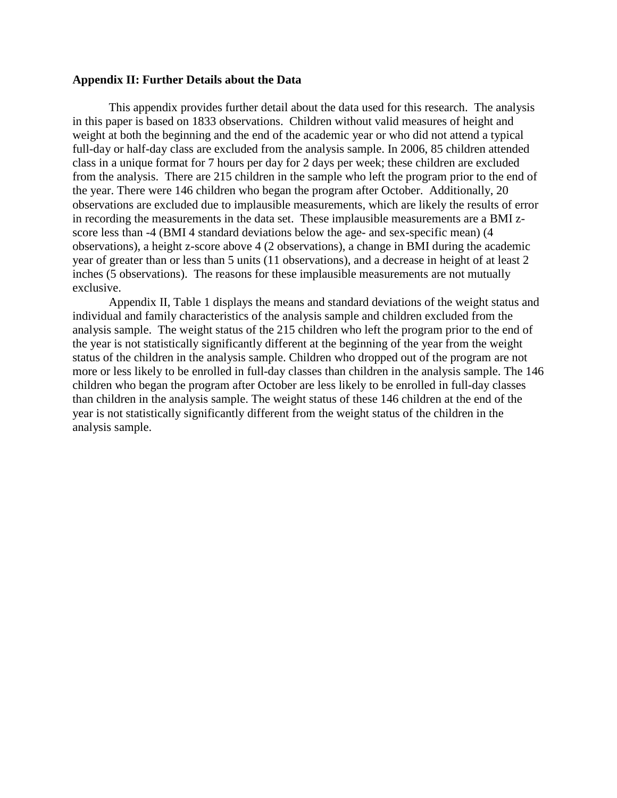# **Appendix II: Further Details about the Data**

This appendix provides further detail about the data used for this research. The analysis in this paper is based on 1833 observations. Children without valid measures of height and weight at both the beginning and the end of the academic year or who did not attend a typical full-day or half-day class are excluded from the analysis sample. In 2006, 85 children attended class in a unique format for 7 hours per day for 2 days per week; these children are excluded from the analysis. There are 215 children in the sample who left the program prior to the end of the year. There were 146 children who began the program after October. Additionally, 20 observations are excluded due to implausible measurements, which are likely the results of error in recording the measurements in the data set. These implausible measurements are a BMI zscore less than -4 (BMI 4 standard deviations below the age- and sex-specific mean) (4 observations), a height z-score above 4 (2 observations), a change in BMI during the academic year of greater than or less than 5 units (11 observations), and a decrease in height of at least 2 inches (5 observations). The reasons for these implausible measurements are not mutually exclusive.

Appendix II, Table 1 displays the means and standard deviations of the weight status and individual and family characteristics of the analysis sample and children excluded from the analysis sample. The weight status of the 215 children who left the program prior to the end of the year is not statistically significantly different at the beginning of the year from the weight status of the children in the analysis sample. Children who dropped out of the program are not more or less likely to be enrolled in full-day classes than children in the analysis sample. The 146 children who began the program after October are less likely to be enrolled in full-day classes than children in the analysis sample. The weight status of these 146 children at the end of the year is not statistically significantly different from the weight status of the children in the analysis sample.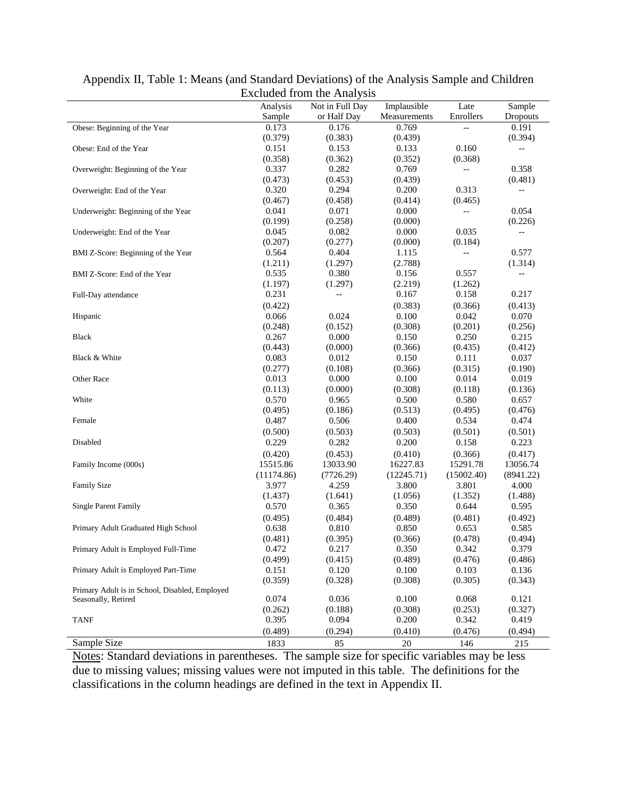|                                                |            | EXCHUGGE ITOILL THE ATTRIVETS |              |            |                          |
|------------------------------------------------|------------|-------------------------------|--------------|------------|--------------------------|
|                                                | Analysis   | Not in Full Day               | Implausible  | Late       | Sample                   |
|                                                | Sample     | or Half Day                   | Measurements | Enrollers  | Dropouts                 |
| Obese: Beginning of the Year                   | 0.173      | 0.176                         | 0.769        | $-$        | 0.191                    |
|                                                | (0.379)    | (0.383)                       | (0.439)      |            | (0.394)                  |
| Obese: End of the Year                         | 0.151      | 0.153                         | 0.133        | 0.160      | $-$                      |
|                                                | (0.358)    | (0.362)                       | (0.352)      | (0.368)    |                          |
| Overweight: Beginning of the Year              | 0.337      | 0.282                         | 0.769        | $-$        | 0.358                    |
|                                                | (0.473)    | (0.453)                       | (0.439)      |            | (0.481)                  |
| Overweight: End of the Year                    | 0.320      | 0.294                         | 0.200        | 0.313      | $\overline{\phantom{a}}$ |
|                                                | (0.467)    | (0.458)                       | (0.414)      | (0.465)    |                          |
| Underweight: Beginning of the Year             | 0.041      | 0.071                         | 0.000        | $-$        | 0.054                    |
|                                                | (0.199)    | (0.258)                       | (0.000)      |            | (0.226)                  |
| Underweight: End of the Year                   | 0.045      | 0.082                         | 0.000        | 0.035      | $-$                      |
|                                                | (0.207)    | (0.277)                       | (0.000)      | (0.184)    |                          |
| BMI Z-Score: Beginning of the Year             | 0.564      | 0.404                         | 1.115        | --         | 0.577                    |
|                                                | (1.211)    | (1.297)                       | (2.788)      |            | (1.314)                  |
| BMI Z-Score: End of the Year                   | 0.535      | 0.380                         | 0.156        | 0.557      | $\overline{\phantom{a}}$ |
|                                                | (1.197)    | (1.297)                       | (2.219)      | (1.262)    |                          |
| Full-Day attendance                            | 0.231      | $-\, -$                       | 0.167        | 0.158      | 0.217                    |
|                                                | (0.422)    |                               | (0.383)      | (0.366)    | (0.413)                  |
| Hispanic                                       | 0.066      | 0.024                         | 0.100        | 0.042      | 0.070                    |
|                                                | (0.248)    | (0.152)                       | (0.308)      | (0.201)    | (0.256)                  |
| <b>Black</b>                                   | 0.267      | 0.000                         | 0.150        | 0.250      | 0.215                    |
|                                                | (0.443)    | (0.000)                       | (0.366)      | (0.435)    | (0.412)                  |
| Black & White                                  | 0.083      | 0.012                         | 0.150        | 0.111      | 0.037                    |
|                                                | (0.277)    | (0.108)                       | (0.366)      | (0.315)    | (0.190)                  |
| Other Race                                     | 0.013      | 0.000                         | 0.100        | 0.014      | 0.019                    |
|                                                | (0.113)    | (0.000)                       | (0.308)      | (0.118)    | (0.136)                  |
| White                                          | 0.570      | 0.965                         | 0.500        | 0.580      | 0.657                    |
|                                                | (0.495)    | (0.186)                       | (0.513)      | (0.495)    | (0.476)                  |
| Female                                         | 0.487      | 0.506                         | 0.400        | 0.534      | 0.474                    |
|                                                | (0.500)    | (0.503)                       | (0.503)      | (0.501)    | (0.501)                  |
| Disabled                                       | 0.229      | 0.282                         | 0.200        | 0.158      | 0.223                    |
|                                                | (0.420)    | (0.453)                       | (0.410)      | (0.366)    | (0.417)                  |
| Family Income (000s)                           | 15515.86   | 13033.90                      | 16227.83     | 15291.78   | 13056.74                 |
|                                                | (11174.86) | (7726.29)                     | (12245.71)   | (15002.40) | (8941.22)                |
| <b>Family Size</b>                             | 3.977      | 4.259                         | 3.800        | 3.801      | 4.000                    |
|                                                | (1.437)    | (1.641)                       | (1.056)      | (1.352)    | (1.488)                  |
| <b>Single Parent Family</b>                    | 0.570      | 0.365                         | 0.350        | 0.644      | 0.595                    |
|                                                | (0.495)    | (0.484)                       | (0.489)      | (0.481)    | (0.492)                  |
| Primary Adult Graduated High School            | 0.638      | 0.810                         | 0.850        | 0.653      | 0.585                    |
|                                                | (0.481)    | (0.395)                       | (0.366)      | (0.478)    | (0.494)                  |
| Primary Adult is Employed Full-Time            | 0.472      | 0.217                         | 0.350        | 0.342      | 0.379                    |
|                                                | (0.499)    | (0.415)                       | (0.489)      | (0.476)    | (0.486)                  |
| Primary Adult is Employed Part-Time            | 0.151      | 0.120                         | 0.100        | 0.103      | 0.136                    |
|                                                | (0.359)    | (0.328)                       | (0.308)      | (0.305)    | (0.343)                  |
| Primary Adult is in School, Disabled, Employed |            |                               |              |            |                          |
| Seasonally, Retired                            | 0.074      | 0.036                         | 0.100        | 0.068      | 0.121                    |
|                                                | (0.262)    | (0.188)                       | (0.308)      | (0.253)    | (0.327)                  |
| TANF                                           | 0.395      | 0.094                         | 0.200        | 0.342      | 0.419                    |
|                                                | (0.489)    | (0.294)                       | (0.410)      | (0.476)    | (0.494)                  |
| Sample Size                                    | 1833       | 85                            | $20\,$       | 146        | 215                      |
|                                                |            |                               |              |            |                          |

Appendix II, Table 1: Means (and Standard Deviations) of the Analysis Sample and Children Excluded from the Analysis

Notes: Standard deviations in parentheses. The sample size for specific variables may be less due to missing values; missing values were not imputed in this table. The definitions for the classifications in the column headings are defined in the text in Appendix II.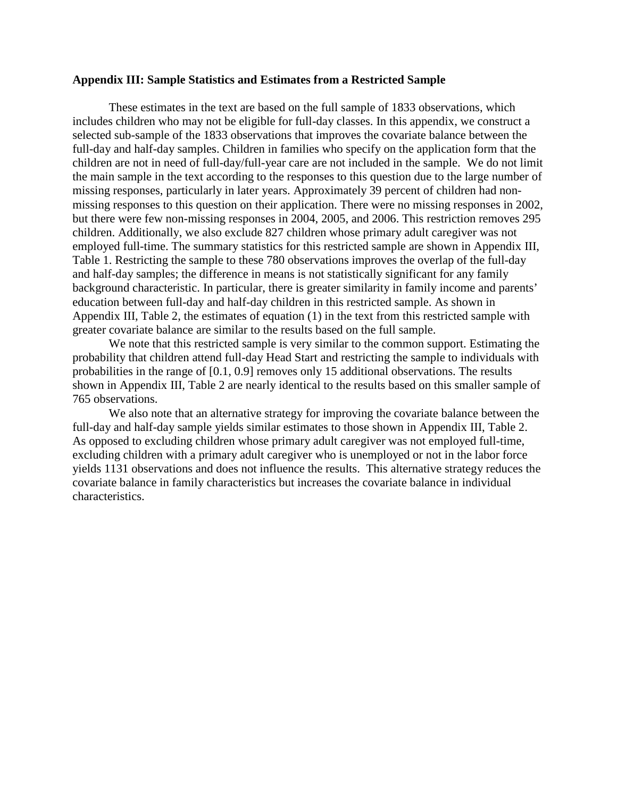#### **Appendix III: Sample Statistics and Estimates from a Restricted Sample**

These estimates in the text are based on the full sample of 1833 observations, which includes children who may not be eligible for full-day classes. In this appendix, we construct a selected sub-sample of the 1833 observations that improves the covariate balance between the full-day and half-day samples. Children in families who specify on the application form that the children are not in need of full-day/full-year care are not included in the sample. We do not limit the main sample in the text according to the responses to this question due to the large number of missing responses, particularly in later years. Approximately 39 percent of children had nonmissing responses to this question on their application. There were no missing responses in 2002, but there were few non-missing responses in 2004, 2005, and 2006. This restriction removes 295 children. Additionally, we also exclude 827 children whose primary adult caregiver was not employed full-time. The summary statistics for this restricted sample are shown in Appendix III, Table 1. Restricting the sample to these 780 observations improves the overlap of the full-day and half-day samples; the difference in means is not statistically significant for any family background characteristic. In particular, there is greater similarity in family income and parents' education between full-day and half-day children in this restricted sample. As shown in Appendix III, Table 2, the estimates of equation (1) in the text from this restricted sample with greater covariate balance are similar to the results based on the full sample.

We note that this restricted sample is very similar to the common support. Estimating the probability that children attend full-day Head Start and restricting the sample to individuals with probabilities in the range of [0.1, 0.9] removes only 15 additional observations. The results shown in Appendix III, Table 2 are nearly identical to the results based on this smaller sample of 765 observations.

We also note that an alternative strategy for improving the covariate balance between the full-day and half-day sample yields similar estimates to those shown in Appendix III, Table 2. As opposed to excluding children whose primary adult caregiver was not employed full-time, excluding children with a primary adult caregiver who is unemployed or not in the labor force yields 1131 observations and does not influence the results. This alternative strategy reduces the covariate balance in family characteristics but increases the covariate balance in individual characteristics.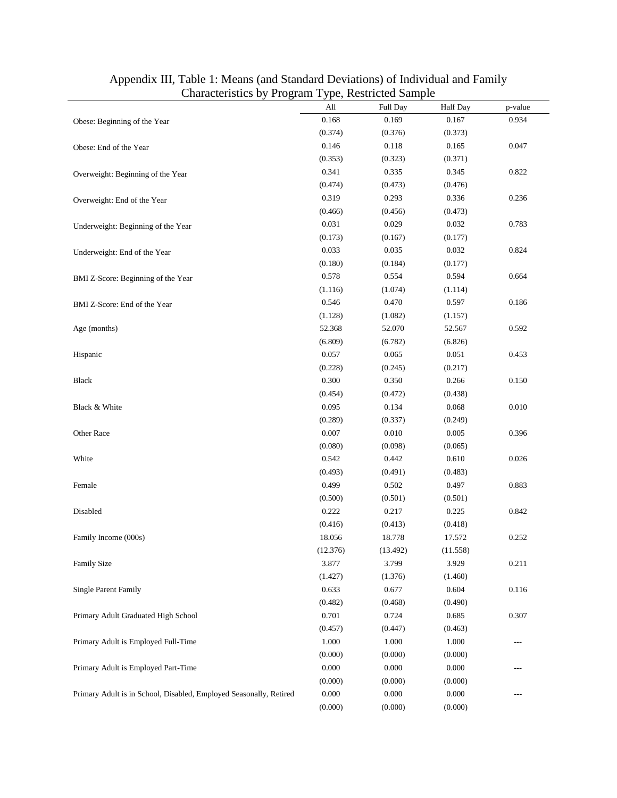| Characteristics of<br>$110 \leq \ldots$                            | All      | <sub>j</sub> o, nostrotog sampio<br><b>Full Day</b> | Half Day | p-value             |
|--------------------------------------------------------------------|----------|-----------------------------------------------------|----------|---------------------|
| Obese: Beginning of the Year                                       | 0.168    | 0.169                                               | 0.167    | 0.934               |
|                                                                    | (0.374)  | (0.376)                                             | (0.373)  |                     |
| Obese: End of the Year                                             | 0.146    | 0.118                                               | 0.165    | 0.047               |
|                                                                    | (0.353)  | (0.323)                                             | (0.371)  |                     |
| Overweight: Beginning of the Year                                  | 0.341    | 0.335                                               | 0.345    | 0.822               |
|                                                                    | (0.474)  | (0.473)                                             | (0.476)  |                     |
| Overweight: End of the Year                                        | 0.319    | 0.293                                               | 0.336    | 0.236               |
|                                                                    | (0.466)  | (0.456)                                             | (0.473)  |                     |
| Underweight: Beginning of the Year                                 | 0.031    | 0.029                                               | 0.032    | 0.783               |
|                                                                    | (0.173)  | (0.167)                                             | (0.177)  |                     |
| Underweight: End of the Year                                       | 0.033    | 0.035                                               | 0.032    | 0.824               |
|                                                                    | (0.180)  | (0.184)                                             | (0.177)  |                     |
| BMI Z-Score: Beginning of the Year                                 | 0.578    | 0.554                                               | 0.594    | 0.664               |
|                                                                    | (1.116)  | (1.074)                                             | (1.114)  |                     |
| BMI Z-Score: End of the Year                                       | 0.546    | 0.470                                               | 0.597    | 0.186               |
|                                                                    | (1.128)  | (1.082)                                             | (1.157)  |                     |
| Age (months)                                                       | 52.368   | 52.070                                              | 52.567   | 0.592               |
|                                                                    | (6.809)  | (6.782)                                             | (6.826)  |                     |
| Hispanic                                                           | 0.057    | 0.065                                               | 0.051    | 0.453               |
|                                                                    | (0.228)  | (0.245)                                             | (0.217)  |                     |
| Black                                                              | 0.300    | 0.350                                               | 0.266    | 0.150               |
|                                                                    | (0.454)  | (0.472)                                             | (0.438)  |                     |
| Black & White                                                      | 0.095    | 0.134                                               | 0.068    | 0.010               |
|                                                                    | (0.289)  | (0.337)                                             | (0.249)  |                     |
| Other Race                                                         | 0.007    | 0.010                                               | 0.005    | 0.396               |
|                                                                    | (0.080)  | (0.098)                                             | (0.065)  |                     |
| White                                                              | 0.542    | 0.442                                               | 0.610    | 0.026               |
|                                                                    | (0.493)  | (0.491)                                             | (0.483)  |                     |
| Female                                                             | 0.499    | 0.502                                               | 0.497    | 0.883               |
|                                                                    | (0.500)  | (0.501)                                             | (0.501)  |                     |
| Disabled                                                           | 0.222    | 0.217                                               | 0.225    | 0.842               |
|                                                                    | (0.416)  | (0.413)                                             | (0.418)  |                     |
| Family Income (000s)                                               | 18.056   | 18.778                                              | 17.572   | 0.252               |
|                                                                    | (12.376) | (13.492)                                            | (11.558) |                     |
| <b>Family Size</b>                                                 | 3.877    | 3.799                                               | 3.929    | 0.211               |
|                                                                    | (1.427)  | (1.376)                                             | (1.460)  |                     |
| <b>Single Parent Family</b>                                        | 0.633    | 0.677                                               | 0.604    | 0.116               |
|                                                                    | (0.482)  | (0.468)                                             | (0.490)  |                     |
| Primary Adult Graduated High School                                | 0.701    | 0.724                                               | 0.685    | 0.307               |
|                                                                    | (0.457)  | (0.447)                                             | (0.463)  |                     |
| Primary Adult is Employed Full-Time                                | 1.000    | 1.000                                               | 1.000    | $\qquad \qquad - -$ |
|                                                                    | (0.000)  | (0.000)                                             | (0.000)  |                     |
| Primary Adult is Employed Part-Time                                | 0.000    | 0.000                                               | 0.000    | $---$               |
|                                                                    | (0.000)  | (0.000)                                             | (0.000)  |                     |
| Primary Adult is in School, Disabled, Employed Seasonally, Retired | 0.000    | 0.000                                               | 0.000    | $---$               |
|                                                                    | (0.000)  | (0.000)                                             | (0.000)  |                     |

# Appendix III, Table 1: Means (and Standard Deviations) of Individual and Family Characteristics by Program Type, Restricted Sample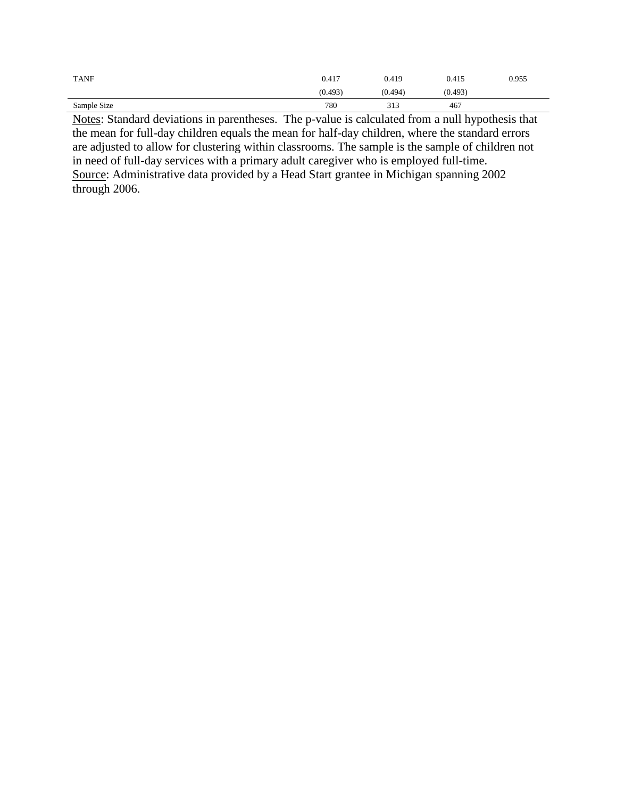| <b>TANF</b> | 0.417   | 0.419   | 0.415   | 0.955 |
|-------------|---------|---------|---------|-------|
|             | (0.493) | (0.494) | (0.493) |       |
| Sample Size | 780     | 313     | 467     |       |

Notes: Standard deviations in parentheses. The p-value is calculated from a null hypothesis that the mean for full-day children equals the mean for half-day children, where the standard errors are adjusted to allow for clustering within classrooms. The sample is the sample of children not in need of full-day services with a primary adult caregiver who is employed full-time. Source: Administrative data provided by a Head Start grantee in Michigan spanning 2002 through 2006.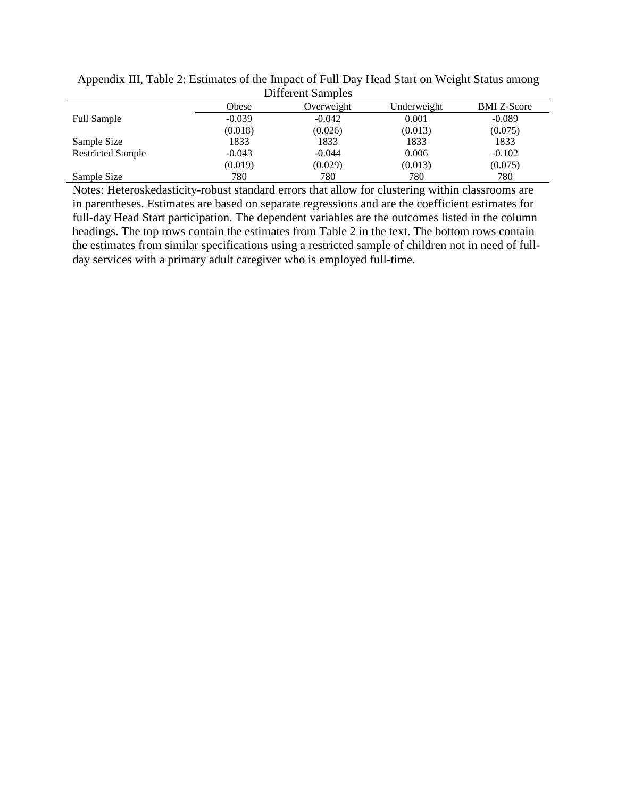| <b>Different Samples</b> |          |            |             |                    |  |  |
|--------------------------|----------|------------|-------------|--------------------|--|--|
|                          | Obese    | Overweight | Underweight | <b>BMI</b> Z-Score |  |  |
| <b>Full Sample</b>       | $-0.039$ | $-0.042$   | 0.001       | $-0.089$           |  |  |
|                          | (0.018)  | (0.026)    | (0.013)     | (0.075)            |  |  |
| Sample Size              | 1833     | 1833       | 1833        | 1833               |  |  |
| <b>Restricted Sample</b> | $-0.043$ | $-0.044$   | 0.006       | $-0.102$           |  |  |
|                          | (0.019)  | (0.029)    | (0.013)     | (0.075)            |  |  |
| Sample Size              | 780      | 780        | 780         | 780                |  |  |

Appendix III, Table 2: Estimates of the Impact of Full Day Head Start on Weight Status among

Notes: Heteroskedasticity-robust standard errors that allow for clustering within classrooms are in parentheses. Estimates are based on separate regressions and are the coefficient estimates for full-day Head Start participation. The dependent variables are the outcomes listed in the column headings. The top rows contain the estimates from Table 2 in the text. The bottom rows contain the estimates from similar specifications using a restricted sample of children not in need of fullday services with a primary adult caregiver who is employed full-time.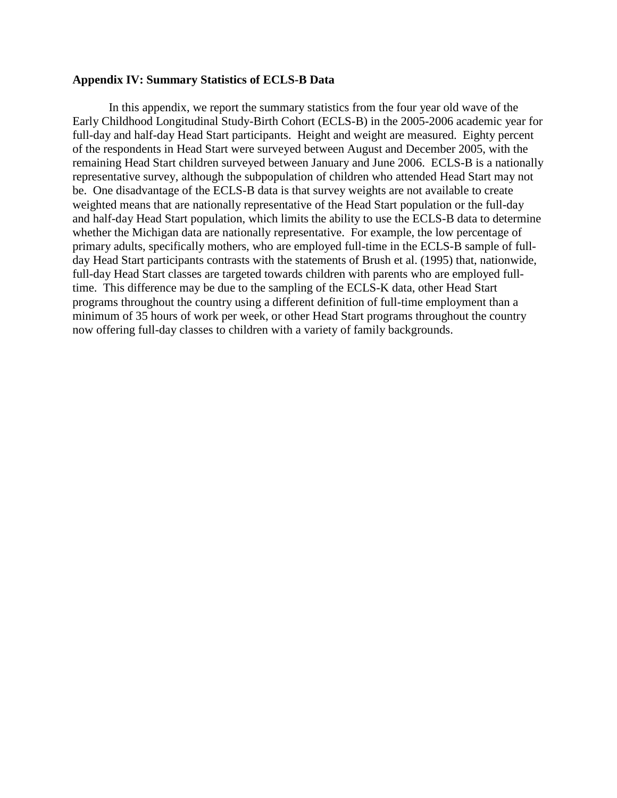#### **Appendix IV: Summary Statistics of ECLS-B Data**

In this appendix, we report the summary statistics from the four year old wave of the Early Childhood Longitudinal Study-Birth Cohort (ECLS-B) in the 2005-2006 academic year for full-day and half-day Head Start participants. Height and weight are measured. Eighty percent of the respondents in Head Start were surveyed between August and December 2005, with the remaining Head Start children surveyed between January and June 2006. ECLS-B is a nationally representative survey, although the subpopulation of children who attended Head Start may not be. One disadvantage of the ECLS-B data is that survey weights are not available to create weighted means that are nationally representative of the Head Start population or the full-day and half-day Head Start population, which limits the ability to use the ECLS-B data to determine whether the Michigan data are nationally representative. For example, the low percentage of primary adults, specifically mothers, who are employed full-time in the ECLS-B sample of fullday Head Start participants contrasts with the statements of Brush et al. (1995) that, nationwide, full-day Head Start classes are targeted towards children with parents who are employed fulltime. This difference may be due to the sampling of the ECLS-K data, other Head Start programs throughout the country using a different definition of full-time employment than a minimum of 35 hours of work per week, or other Head Start programs throughout the country now offering full-day classes to children with a variety of family backgrounds.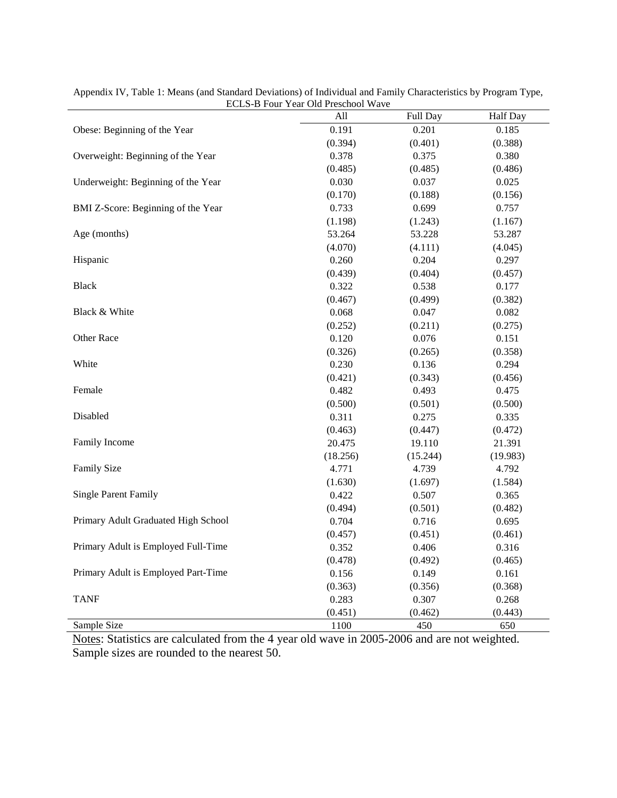|                                     | ECLS-D FOUR TEAR OR FRESCHOOL WAVE |          |          |
|-------------------------------------|------------------------------------|----------|----------|
|                                     | All                                | Full Day | Half Day |
| Obese: Beginning of the Year        | 0.191                              | 0.201    | 0.185    |
|                                     | (0.394)                            | (0.401)  | (0.388)  |
| Overweight: Beginning of the Year   | 0.378                              | 0.375    | 0.380    |
|                                     | (0.485)                            | (0.485)  | (0.486)  |
| Underweight: Beginning of the Year  | 0.030                              | 0.037    | 0.025    |
|                                     | (0.170)                            | (0.188)  | (0.156)  |
| BMI Z-Score: Beginning of the Year  | 0.733                              | 0.699    | 0.757    |
|                                     | (1.198)                            | (1.243)  | (1.167)  |
| Age (months)                        | 53.264                             | 53.228   | 53.287   |
|                                     | (4.070)                            | (4.111)  | (4.045)  |
| Hispanic                            | 0.260                              | 0.204    | 0.297    |
|                                     | (0.439)                            | (0.404)  | (0.457)  |
| <b>Black</b>                        | 0.322                              | 0.538    | 0.177    |
|                                     | (0.467)                            | (0.499)  | (0.382)  |
| Black & White                       | 0.068                              | 0.047    | 0.082    |
|                                     | (0.252)                            | (0.211)  | (0.275)  |
| Other Race                          | 0.120                              | 0.076    | 0.151    |
|                                     | (0.326)                            | (0.265)  | (0.358)  |
| White                               | 0.230                              | 0.136    | 0.294    |
|                                     | (0.421)                            | (0.343)  | (0.456)  |
| Female                              | 0.482                              | 0.493    | 0.475    |
|                                     | (0.500)                            | (0.501)  | (0.500)  |
| Disabled                            | 0.311                              | 0.275    | 0.335    |
|                                     | (0.463)                            | (0.447)  | (0.472)  |
| Family Income                       | 20.475                             | 19.110   | 21.391   |
|                                     | (18.256)                           | (15.244) | (19.983) |
| <b>Family Size</b>                  | 4.771                              | 4.739    | 4.792    |
|                                     | (1.630)                            | (1.697)  | (1.584)  |
| <b>Single Parent Family</b>         | 0.422                              | 0.507    | 0.365    |
|                                     | (0.494)                            | (0.501)  | (0.482)  |
| Primary Adult Graduated High School | 0.704                              | 0.716    | 0.695    |
|                                     | (0.457)                            | (0.451)  | (0.461)  |
| Primary Adult is Employed Full-Time | 0.352                              | 0.406    | 0.316    |
|                                     | (0.478)                            | (0.492)  | (0.465)  |
| Primary Adult is Employed Part-Time | 0.156                              | 0.149    | 0.161    |
|                                     | (0.363)                            | (0.356)  | (0.368)  |
| <b>TANF</b>                         | 0.283                              | 0.307    | 0.268    |
|                                     | (0.451)                            | (0.462)  | (0.443)  |
| Sample Size                         | 1100                               | 450      | 650      |

Appendix IV, Table 1: Means (and Standard Deviations) of Individual and Family Characteristics by Program Type, ECLS-B Four Year Old Preschool Wave

Notes: Statistics are calculated from the 4 year old wave in 2005-2006 and are not weighted. Sample sizes are rounded to the nearest 50.